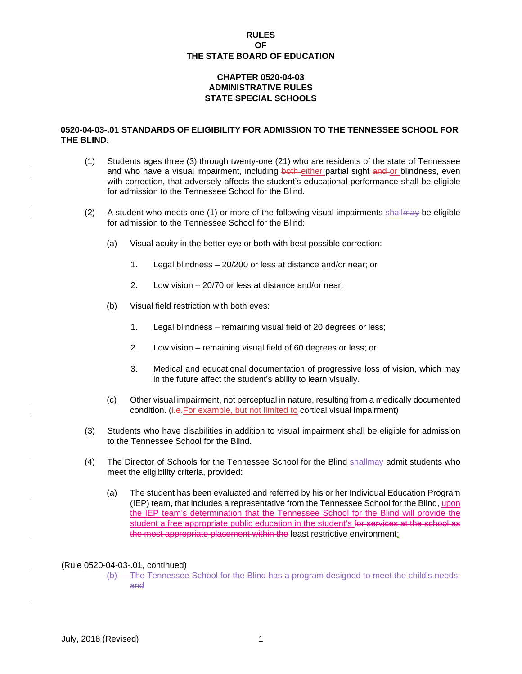### **RULES OF THE STATE BOARD OF EDUCATION**

# **CHAPTER 0520-04-03 ADMINISTRATIVE RULES STATE SPECIAL SCHOOLS**

## **0520-04-03-.01 STANDARDS OF ELIGIBILITY FOR ADMISSION TO THE TENNESSEE SCHOOL FOR THE BLIND.**

- (1) Students ages three (3) through twenty-one (21) who are residents of the state of Tennessee and who have a visual impairment, including both either partial sight and or blindness, even with correction, that adversely affects the student's educational performance shall be eligible for admission to the Tennessee School for the Blind.
- (2) A student who meets one (1) or more of the following visual impairments shall may be eligible for admission to the Tennessee School for the Blind:
	- (a) Visual acuity in the better eye or both with best possible correction:
		- 1. Legal blindness 20/200 or less at distance and/or near; or
		- 2. Low vision 20/70 or less at distance and/or near.
	- (b) Visual field restriction with both eyes:
		- 1. Legal blindness remaining visual field of 20 degrees or less;
		- 2. Low vision remaining visual field of 60 degrees or less; or
		- 3. Medical and educational documentation of progressive loss of vision, which may in the future affect the student's ability to learn visually.
	- (c) Other visual impairment, not perceptual in nature, resulting from a medically documented condition. (i.e. For example, but not limited to cortical visual impairment)
- (3) Students who have disabilities in addition to visual impairment shall be eligible for admission to the Tennessee School for the Blind.
- (4) The Director of Schools for the Tennessee School for the Blind shallmay admit students who meet the eligibility criteria, provided:
	- (a) The student has been evaluated and referred by his or her Individual Education Program (IEP) team, that includes a representative from the Tennessee School for the Blind, upon the IEP team's determination that the Tennessee School for the Blind will provide the student a free appropriate public education in the student's for services at the school as the most appropriate placement within the least restrictive environment;

#### (Rule 0520-04-03-.01, continued)

(b) The Tennessee School for the Blind has a program designed to meet the child's needs; and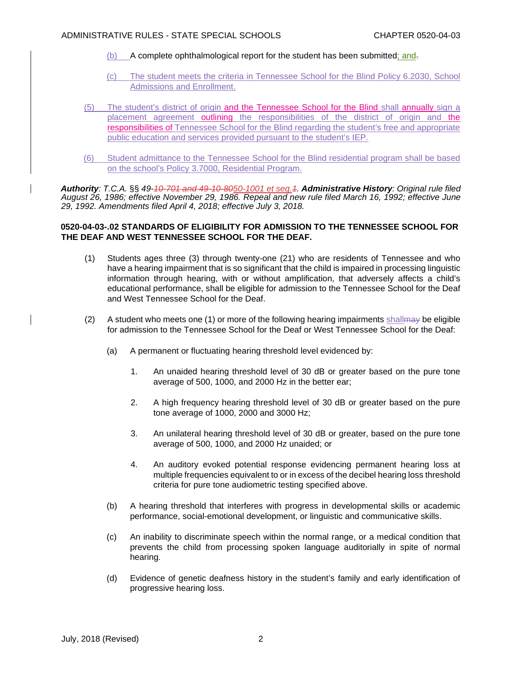- (b) A complete ophthalmological report for the student has been submitted; and-
- (c) The student meets the criteria in Tennessee School for the Blind Policy 6.2030, School Admissions and Enrollment.
- (5) The student's district of origin and the Tennessee School for the Blind shall annually sign a placement agreement outlining the responsibilities of the district of origin and the responsibilities of Tennessee School for the Blind regarding the student's free and appropriate public education and services provided pursuant to the student's IEP.
- (6) Student admittance to the Tennessee School for the Blind residential program shall be based on the school's Policy 3.7000, Residential Program.

*Authority: T.C.A.* §§ *49-10-701 and 49-10-8050-1001 et seq.1. Administrative History: Original rule filed August 26, 1986; effective November 29, 1986. Repeal and new rule filed March 16, 1992; effective June 29, 1992. Amendments filed April 4, 2018; effective July 3, 2018.* 

## **0520-04-03-.02 STANDARDS OF ELIGIBILITY FOR ADMISSION TO THE TENNESSEE SCHOOL FOR THE DEAF AND WEST TENNESSEE SCHOOL FOR THE DEAF.**

- (1) Students ages three (3) through twenty-one (21) who are residents of Tennessee and who have a hearing impairment that is so significant that the child is impaired in processing linguistic information through hearing, with or without amplification, that adversely affects a child's educational performance, shall be eligible for admission to the Tennessee School for the Deaf and West Tennessee School for the Deaf.
- (2) A student who meets one (1) or more of the following hearing impairments shall  $\theta$  be eligible for admission to the Tennessee School for the Deaf or West Tennessee School for the Deaf:
	- (a) A permanent or fluctuating hearing threshold level evidenced by:
		- 1. An unaided hearing threshold level of 30 dB or greater based on the pure tone average of 500, 1000, and 2000 Hz in the better ear;
		- 2. A high frequency hearing threshold level of 30 dB or greater based on the pure tone average of 1000, 2000 and 3000 Hz;
		- 3. An unilateral hearing threshold level of 30 dB or greater, based on the pure tone average of 500, 1000, and 2000 Hz unaided; or
		- 4. An auditory evoked potential response evidencing permanent hearing loss at multiple frequencies equivalent to or in excess of the decibel hearing loss threshold criteria for pure tone audiometric testing specified above.
	- (b) A hearing threshold that interferes with progress in developmental skills or academic performance, social-emotional development, or linguistic and communicative skills.
	- (c) An inability to discriminate speech within the normal range, or a medical condition that prevents the child from processing spoken language auditorially in spite of normal hearing.
	- (d) Evidence of genetic deafness history in the student's family and early identification of progressive hearing loss.